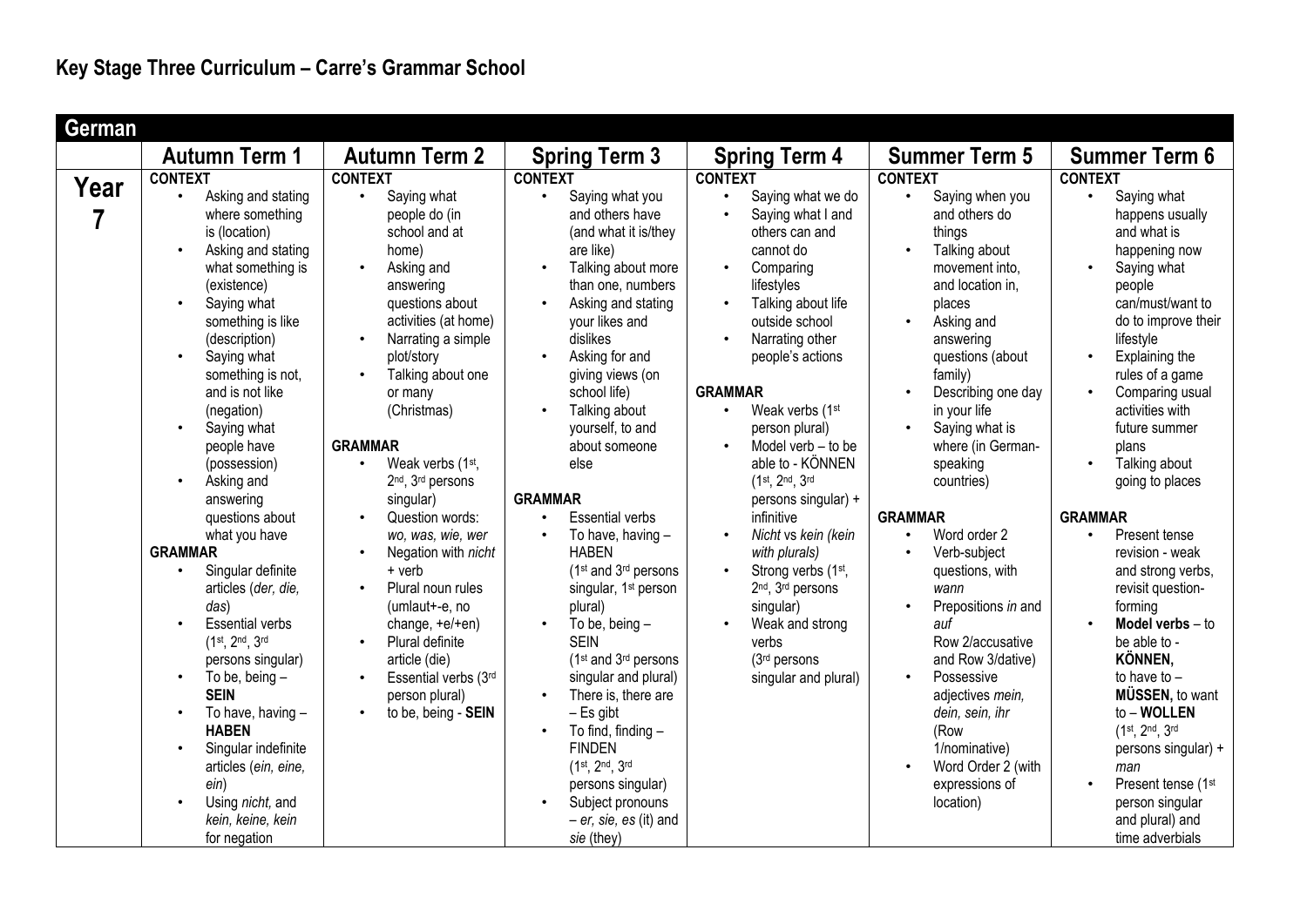| German                 |                                                                                                                                                                                                                                                                                                                                 |                                                                                                                                                                                                                                                                                                           |                                                                                                                                                                                                                                                                                                                                                |                                                                                                                                                                                                                                                                                                            |                                                                                                                                                                                                                                                                                                       |                                                                                                                                                                                                                                                                       |
|------------------------|---------------------------------------------------------------------------------------------------------------------------------------------------------------------------------------------------------------------------------------------------------------------------------------------------------------------------------|-----------------------------------------------------------------------------------------------------------------------------------------------------------------------------------------------------------------------------------------------------------------------------------------------------------|------------------------------------------------------------------------------------------------------------------------------------------------------------------------------------------------------------------------------------------------------------------------------------------------------------------------------------------------|------------------------------------------------------------------------------------------------------------------------------------------------------------------------------------------------------------------------------------------------------------------------------------------------------------|-------------------------------------------------------------------------------------------------------------------------------------------------------------------------------------------------------------------------------------------------------------------------------------------------------|-----------------------------------------------------------------------------------------------------------------------------------------------------------------------------------------------------------------------------------------------------------------------|
|                        | <b>Autumn Term 1</b>                                                                                                                                                                                                                                                                                                            | <b>Autumn Term 2</b>                                                                                                                                                                                                                                                                                      | <b>Spring Term 3</b>                                                                                                                                                                                                                                                                                                                           | <b>Spring Term 4</b>                                                                                                                                                                                                                                                                                       | <b>Summer Term 5</b>                                                                                                                                                                                                                                                                                  | <b>Summer Term 6</b>                                                                                                                                                                                                                                                  |
|                        | <b>CONTEXT</b>                                                                                                                                                                                                                                                                                                                  | <b>CONTEXT</b>                                                                                                                                                                                                                                                                                            | <b>CONTEXT</b>                                                                                                                                                                                                                                                                                                                                 | <b>CONTEXT</b>                                                                                                                                                                                                                                                                                             | <b>CONTEXT</b>                                                                                                                                                                                                                                                                                        | <b>CONTEXT</b>                                                                                                                                                                                                                                                        |
| Year<br>$\overline{7}$ | Asking and stating<br>$\bullet$<br>where something<br>is (location)<br>Asking and stating<br>what something is<br>(existence)<br>Saying what<br>something is like<br>(description)<br>Saying what<br>$\bullet$<br>something is not,<br>and is not like<br>(negation)<br>Saying what<br>$\bullet$<br>people have<br>(possession) | Saying what<br>$\bullet$<br>people do (in<br>school and at<br>home)<br>Asking and<br>$\bullet$<br>answering<br>questions about<br>activities (at home)<br>Narrating a simple<br>plot/story<br>Talking about one<br>$\bullet$<br>or many<br>(Christmas)<br><b>GRAMMAR</b><br>Weak verbs (1st,<br>$\bullet$ | Saying what you<br>$\bullet$<br>and others have<br>(and what it is/they<br>are like)<br>Talking about more<br>$\bullet$<br>than one, numbers<br>Asking and stating<br>$\bullet$<br>your likes and<br>dislikes<br>Asking for and<br>$\bullet$<br>giving views (on<br>school life)<br>Talking about<br>yourself, to and<br>about someone<br>else | Saying what we do<br>Saying what I and<br>others can and<br>cannot do<br>Comparing<br>$\bullet$<br>lifestyles<br>Talking about life<br>outside school<br>Narrating other<br>$\bullet$<br>people's actions<br><b>GRAMMAR</b><br>Weak verbs (1st<br>person plural)<br>Model verb - to be<br>able to - KÖNNEN | Saying when you<br>$\bullet$<br>and others do<br>things<br>Talking about<br>$\bullet$<br>movement into,<br>and location in,<br>places<br>Asking and<br>answering<br>questions (about<br>family)<br>Describing one day<br>in your life<br>Saying what is<br>$\bullet$<br>where (in German-<br>speaking | Saying what<br>happens usually<br>and what is<br>happening now<br>Saying what<br>people<br>can/must/want to<br>do to improve their<br>lifestyle<br>Explaining the<br>rules of a game<br>Comparing usual<br>activities with<br>future summer<br>plans<br>Talking about |
|                        | Asking and<br>$\bullet$<br>answering<br>questions about<br>what you have<br><b>GRAMMAR</b><br>Singular definite<br>$\bullet$<br>articles (der, die,<br>das)<br><b>Essential verbs</b><br>(1st, 2nd, 3rd<br>persons singular)<br>To be, being $-$<br>$\bullet$<br><b>SEIN</b>                                                    | 2 <sup>nd</sup> , 3 <sup>rd</sup> persons<br>singular)<br>Question words:<br>wo, was, wie, wer<br>Negation with nicht<br>$+$ verb<br>Plural noun rules<br>$\bullet$<br>(umlaut+-e, no<br>change, $+e/+en$ )<br>Plural definite<br>article (die)<br>Essential verbs (3rd<br>$\bullet$<br>person plural)    | <b>GRAMMAR</b><br><b>Essential verbs</b><br>$\bullet$<br>To have, having -<br>$\bullet$<br><b>HABEN</b><br>(1 <sup>st</sup> and 3 <sup>rd</sup> persons<br>singular, 1 <sup>st</sup> person<br>plural)<br>To be, being $-$<br><b>SEIN</b><br>(1 <sup>st</sup> and 3 <sup>rd</sup> persons<br>singular and plural)<br>There is, there are       | $(1^{st}, 2^{nd}, 3^{rd})$<br>persons singular) +<br>infinitive<br>Nicht vs kein (kein<br>$\bullet$<br>with plurals)<br>Strong verbs (1st,<br>$\bullet$<br>2 <sup>nd</sup> , 3 <sup>rd</sup> persons<br>singular)<br>Weak and strong<br>verbs<br>(3rd persons<br>singular and plural)                      | countries)<br><b>GRAMMAR</b><br>Word order 2<br>$\bullet$<br>Verb-subject<br>questions, with<br>wann<br>Prepositions in and<br>$\bullet$<br>auf<br>Row 2/accusative<br>and Row 3/dative)<br>Possessive<br>$\bullet$<br>adjectives mein,                                                               | going to places<br><b>GRAMMAR</b><br>Present tense<br>$\bullet$<br>revision - weak<br>and strong verbs,<br>revisit question-<br>forming<br>Model verbs $-$ to<br>be able to -<br>KÖNNEN,<br>to have to $-$<br>MÜSSEN, to want                                         |
|                        | To have, having -<br><b>HABEN</b><br>Singular indefinite<br>articles (ein, eine,<br>ein)<br>Using nicht, and<br>kein, keine, kein<br>for negation                                                                                                                                                                               | to be, being - SEIN                                                                                                                                                                                                                                                                                       | $-$ Es gibt<br>To find, finding -<br><b>FINDEN</b><br>$(1^{st}, 2^{nd}, 3^{rd})$<br>persons singular)<br>Subject pronouns<br>$- er$ , sie, es (it) and<br>sie (they)                                                                                                                                                                           |                                                                                                                                                                                                                                                                                                            | dein, sein, ihr<br>(Row<br>1/nominative)<br>Word Order 2 (with<br>expressions of<br>location)                                                                                                                                                                                                         | to - WOLLEN<br>(1st, 2nd, 3rd<br>persons singular) +<br>man<br>Present tense (1st<br>person singular<br>and plural) and<br>time adverbials                                                                                                                            |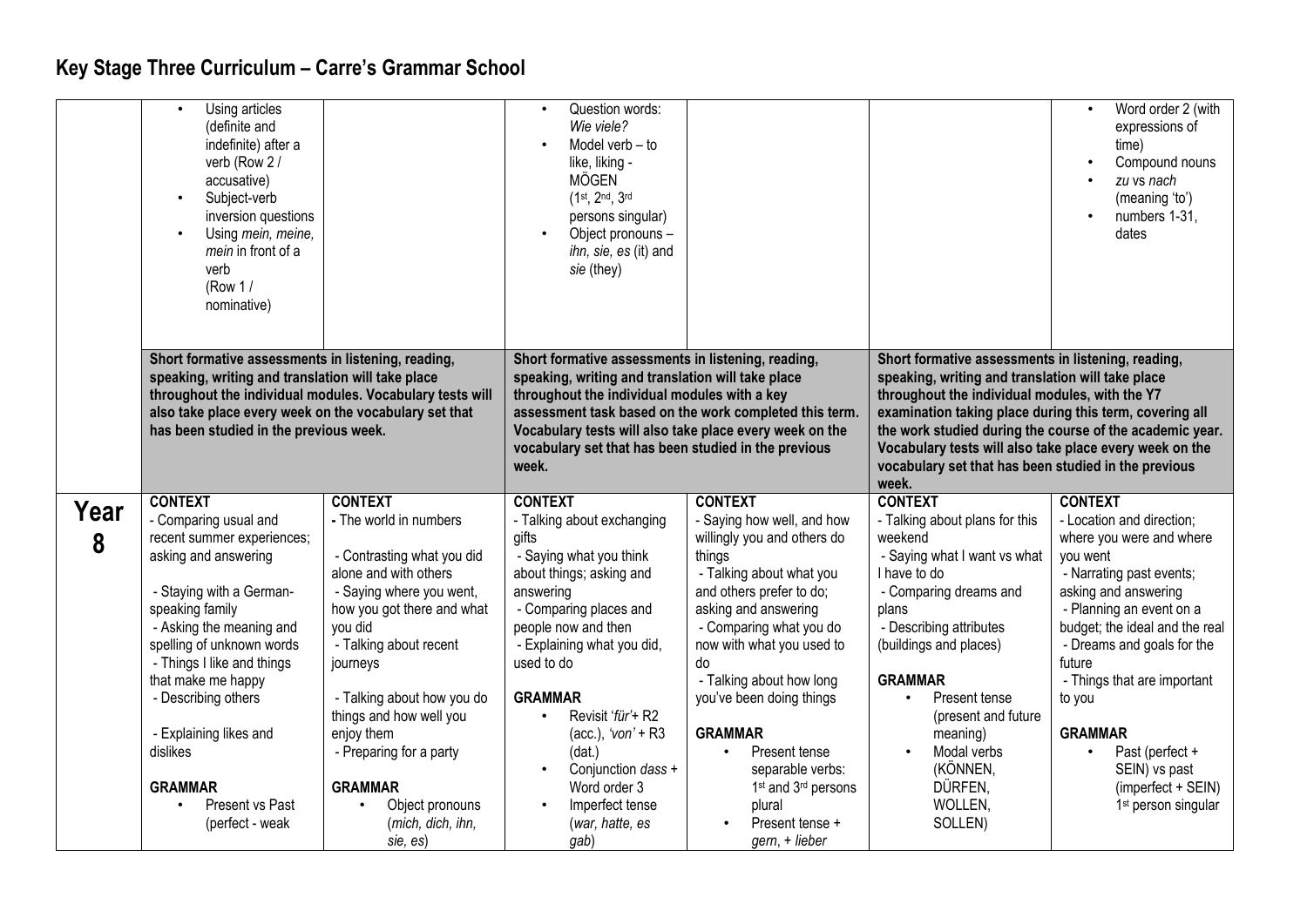|      | Using articles<br>(definite and<br>indefinite) after a<br>verb (Row 2 /<br>accusative)<br>Subject-verb<br>inversion questions<br>Using mein, meine,<br>mein in front of a<br>verb<br>(Row $1/$<br>nominative)                                                          |                                    | Question words:<br>Wie viele?<br>Model verb - to<br>like, liking -<br><b>MÖGEN</b><br>(1st, 2nd, 3rd<br>persons singular)<br>Object pronouns -<br>ihn, sie, es (it) and<br>sie (they)                                                                                                                                                         |                                             |                                                                                                                                                                                                                                                                                                                                                                                                              | Word order 2 (with<br>$\bullet$<br>expressions of<br>time)<br>Compound nouns<br>zu vs nach<br>(meaning 'to')<br>numbers 1-31,<br>dates |
|------|------------------------------------------------------------------------------------------------------------------------------------------------------------------------------------------------------------------------------------------------------------------------|------------------------------------|-----------------------------------------------------------------------------------------------------------------------------------------------------------------------------------------------------------------------------------------------------------------------------------------------------------------------------------------------|---------------------------------------------|--------------------------------------------------------------------------------------------------------------------------------------------------------------------------------------------------------------------------------------------------------------------------------------------------------------------------------------------------------------------------------------------------------------|----------------------------------------------------------------------------------------------------------------------------------------|
|      | Short formative assessments in listening, reading,<br>speaking, writing and translation will take place<br>throughout the individual modules. Vocabulary tests will<br>also take place every week on the vocabulary set that<br>has been studied in the previous week. |                                    | Short formative assessments in listening, reading,<br>speaking, writing and translation will take place<br>throughout the individual modules with a key<br>assessment task based on the work completed this term.<br>Vocabulary tests will also take place every week on the<br>vocabulary set that has been studied in the previous<br>week. |                                             | Short formative assessments in listening, reading,<br>speaking, writing and translation will take place<br>throughout the individual modules, with the Y7<br>examination taking place during this term, covering all<br>the work studied during the course of the academic year.<br>Vocabulary tests will also take place every week on the<br>vocabulary set that has been studied in the previous<br>week. |                                                                                                                                        |
|      | <b>CONTEXT</b>                                                                                                                                                                                                                                                         | <b>CONTEXT</b>                     | <b>CONTEXT</b>                                                                                                                                                                                                                                                                                                                                | <b>CONTEXT</b>                              | <b>CONTEXT</b>                                                                                                                                                                                                                                                                                                                                                                                               | <b>CONTEXT</b>                                                                                                                         |
| Year | - Comparing usual and                                                                                                                                                                                                                                                  | - The world in numbers             | - Talking about exchanging                                                                                                                                                                                                                                                                                                                    | - Saying how well, and how                  | - Talking about plans for this                                                                                                                                                                                                                                                                                                                                                                               | - Location and direction;                                                                                                              |
| 8    | recent summer experiences;                                                                                                                                                                                                                                             |                                    | gifts                                                                                                                                                                                                                                                                                                                                         | willingly you and others do                 | weekend                                                                                                                                                                                                                                                                                                                                                                                                      | where you were and where                                                                                                               |
|      | asking and answering                                                                                                                                                                                                                                                   | - Contrasting what you did         | - Saying what you think                                                                                                                                                                                                                                                                                                                       | things                                      | - Saying what I want vs what                                                                                                                                                                                                                                                                                                                                                                                 | you went                                                                                                                               |
|      |                                                                                                                                                                                                                                                                        | alone and with others              | about things; asking and                                                                                                                                                                                                                                                                                                                      | - Talking about what you                    | I have to do                                                                                                                                                                                                                                                                                                                                                                                                 | - Narrating past events;                                                                                                               |
|      | - Staying with a German-                                                                                                                                                                                                                                               | - Saying where you went,           | answering                                                                                                                                                                                                                                                                                                                                     | and others prefer to do;                    | - Comparing dreams and                                                                                                                                                                                                                                                                                                                                                                                       | asking and answering                                                                                                                   |
|      | speaking family                                                                                                                                                                                                                                                        | how you got there and what         | - Comparing places and                                                                                                                                                                                                                                                                                                                        | asking and answering                        | plans                                                                                                                                                                                                                                                                                                                                                                                                        | - Planning an event on a                                                                                                               |
|      | - Asking the meaning and                                                                                                                                                                                                                                               | you did                            | people now and then                                                                                                                                                                                                                                                                                                                           | - Comparing what you do                     | - Describing attributes                                                                                                                                                                                                                                                                                                                                                                                      | budget; the ideal and the real                                                                                                         |
|      | spelling of unknown words<br>- Things I like and things                                                                                                                                                                                                                | - Talking about recent<br>journeys | - Explaining what you did,<br>used to do                                                                                                                                                                                                                                                                                                      | now with what you used to<br>do             | (buildings and places)                                                                                                                                                                                                                                                                                                                                                                                       | - Dreams and goals for the<br>future                                                                                                   |
|      | that make me happy                                                                                                                                                                                                                                                     |                                    |                                                                                                                                                                                                                                                                                                                                               | - Talking about how long                    | <b>GRAMMAR</b>                                                                                                                                                                                                                                                                                                                                                                                               | - Things that are important                                                                                                            |
|      | - Describing others                                                                                                                                                                                                                                                    | - Talking about how you do         | <b>GRAMMAR</b>                                                                                                                                                                                                                                                                                                                                | you've been doing things                    | Present tense<br>$\bullet$                                                                                                                                                                                                                                                                                                                                                                                   | to you                                                                                                                                 |
|      |                                                                                                                                                                                                                                                                        | things and how well you            | Revisit 'für'+ R2                                                                                                                                                                                                                                                                                                                             |                                             | (present and future                                                                                                                                                                                                                                                                                                                                                                                          |                                                                                                                                        |
|      | - Explaining likes and                                                                                                                                                                                                                                                 | enjoy them                         | (acc.), ' $von' + R3$                                                                                                                                                                                                                                                                                                                         | <b>GRAMMAR</b>                              | meaning)                                                                                                                                                                                                                                                                                                                                                                                                     | <b>GRAMMAR</b>                                                                                                                         |
|      | dislikes                                                                                                                                                                                                                                                               | - Preparing for a party            | (data.)                                                                                                                                                                                                                                                                                                                                       | $\bullet$<br>Present tense                  | Modal verbs                                                                                                                                                                                                                                                                                                                                                                                                  | Past (perfect +                                                                                                                        |
|      |                                                                                                                                                                                                                                                                        |                                    | Conjunction dass +<br>$\bullet$                                                                                                                                                                                                                                                                                                               | separable verbs:                            | (KÖNNEN,                                                                                                                                                                                                                                                                                                                                                                                                     | SEIN) vs past                                                                                                                          |
|      | <b>GRAMMAR</b>                                                                                                                                                                                                                                                         | <b>GRAMMAR</b>                     | Word order 3                                                                                                                                                                                                                                                                                                                                  | 1 <sup>st</sup> and 3 <sup>rd</sup> persons | DÜRFEN,                                                                                                                                                                                                                                                                                                                                                                                                      | (imperfect + SEIN)                                                                                                                     |
|      | Present vs Past                                                                                                                                                                                                                                                        | Object pronouns<br>$\bullet$       | Imperfect tense                                                                                                                                                                                                                                                                                                                               | plural                                      | WOLLEN,                                                                                                                                                                                                                                                                                                                                                                                                      | 1 <sup>st</sup> person singular                                                                                                        |
|      | (perfect - weak                                                                                                                                                                                                                                                        | (mich, dich, ihn,                  | (war, hatte, es                                                                                                                                                                                                                                                                                                                               | Present tense +                             | SOLLEN)                                                                                                                                                                                                                                                                                                                                                                                                      |                                                                                                                                        |
|      |                                                                                                                                                                                                                                                                        | sie, es)                           | gab)                                                                                                                                                                                                                                                                                                                                          | gern, + lieber                              |                                                                                                                                                                                                                                                                                                                                                                                                              |                                                                                                                                        |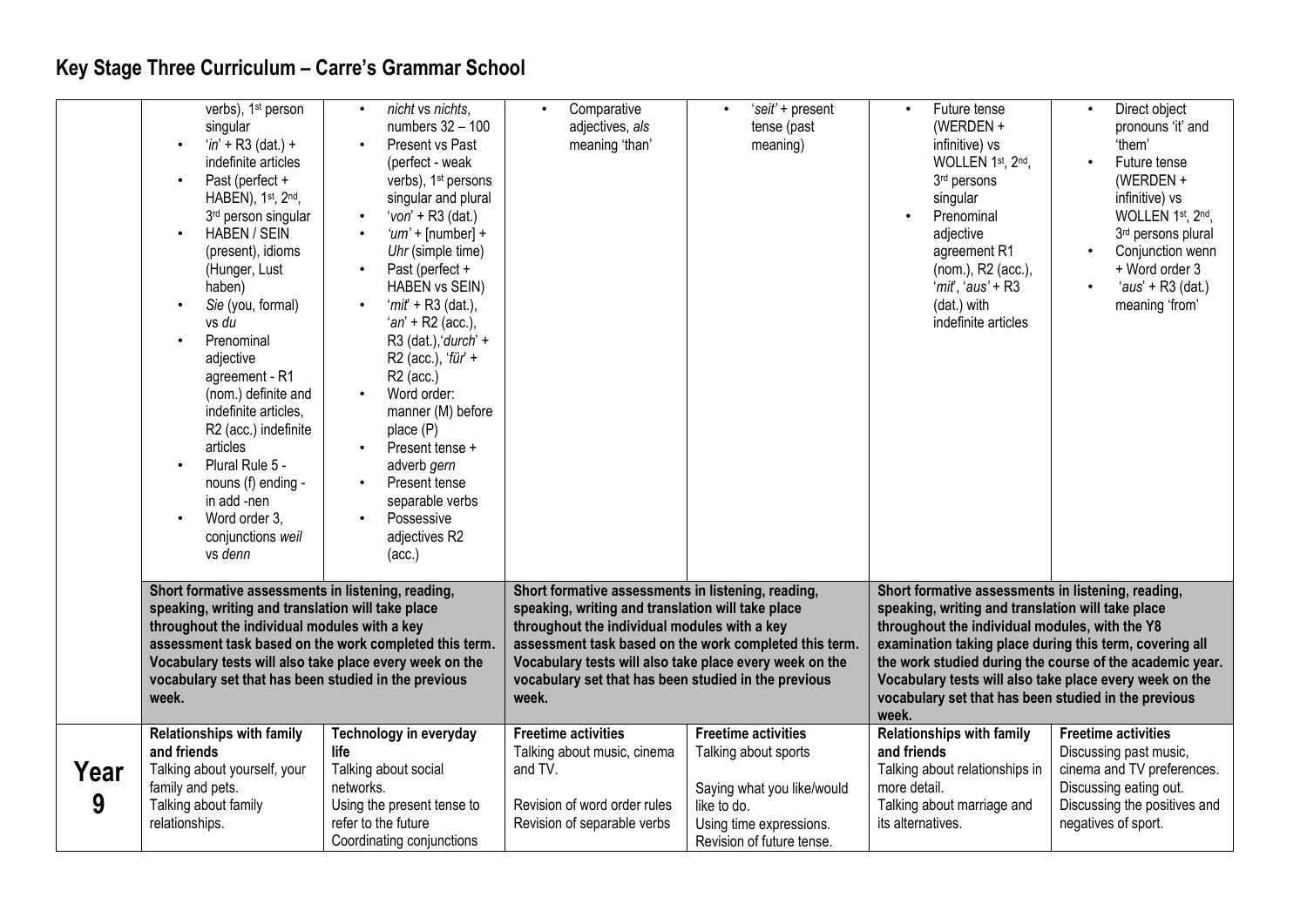|           | verbs), 1 <sup>st</sup> person<br>singular<br>$'in' + R3$ (dat.) +<br>indefinite articles<br>Past (perfect +<br>HABEN), 1st, 2nd,<br>3rd person singular<br><b>HABEN / SEIN</b><br>(present), idioms<br>(Hunger, Lust<br>haben)<br>Sie (you, formal)<br>vs du<br>Prenominal<br>adjective<br>agreement - R1<br>(nom.) definite and<br>indefinite articles,<br>R2 (acc.) indefinite<br>articles<br>Plural Rule 5 -<br>nouns (f) ending -<br>in add -nen<br>Word order 3,<br>conjunctions weil<br>vs denn | nicht vs nichts,<br>$\bullet$<br>numbers 32 - 100<br>Present vs Past<br>(perfect - weak<br>verbs), 1 <sup>st</sup> persons<br>singular and plural<br>'von' + $R3$ (dat.)<br>$\bullet$<br>' $um'$ + [number] +<br>$\bullet$<br>Uhr (simple time)<br>Past (perfect +<br>HABEN vs SEIN)<br>' $mit + R3$ (dat.),<br>$an + R2$ (acc.),<br>$R3$ (dat.), 'durch' +<br>R2 (acc.), 'für' +<br>$R2$ (acc.)<br>Word order:<br>manner (M) before<br>place (P)<br>Present tense +<br>adverb gern<br>Present tense<br>separable verbs<br>Possessive<br>adjectives R2<br>(acc.) | Comparative<br>$\bullet$<br>adjectives, als<br>meaning 'than'                                                                                                                                                                                                                                                                                 | 'seit' + present<br>$\bullet$<br>tense (past<br>meaning)                                                                                                | Future tense<br>$\bullet$<br>(WERDEN +<br>infinitive) vs<br>WOLLEN 1st, 2nd,<br>3rd persons<br>singular<br>Prenominal<br>adjective<br>agreement R1<br>(nom.), R2 (acc.),<br>'mit', 'aus' + R3<br>(dat.) with<br>indefinite articles                                                                                                                                                                          | Direct object<br>pronouns 'it' and<br>'them'<br>Future tense<br>(WERDEN $+$<br>infinitive) vs<br>WOLLEN 1st, 2nd,<br>3rd persons plural<br>Conjunction wenn<br>+ Word order 3<br>$'aus' + R3$ (dat.)<br>meaning 'from' |
|-----------|--------------------------------------------------------------------------------------------------------------------------------------------------------------------------------------------------------------------------------------------------------------------------------------------------------------------------------------------------------------------------------------------------------------------------------------------------------------------------------------------------------|------------------------------------------------------------------------------------------------------------------------------------------------------------------------------------------------------------------------------------------------------------------------------------------------------------------------------------------------------------------------------------------------------------------------------------------------------------------------------------------------------------------------------------------------------------------|-----------------------------------------------------------------------------------------------------------------------------------------------------------------------------------------------------------------------------------------------------------------------------------------------------------------------------------------------|---------------------------------------------------------------------------------------------------------------------------------------------------------|--------------------------------------------------------------------------------------------------------------------------------------------------------------------------------------------------------------------------------------------------------------------------------------------------------------------------------------------------------------------------------------------------------------|------------------------------------------------------------------------------------------------------------------------------------------------------------------------------------------------------------------------|
|           | Short formative assessments in listening, reading,<br>speaking, writing and translation will take place<br>throughout the individual modules with a key<br>assessment task based on the work completed this term.<br>Vocabulary tests will also take place every week on the<br>vocabulary set that has been studied in the previous<br>week.                                                                                                                                                          |                                                                                                                                                                                                                                                                                                                                                                                                                                                                                                                                                                  | Short formative assessments in listening, reading,<br>speaking, writing and translation will take place<br>throughout the individual modules with a key<br>assessment task based on the work completed this term.<br>Vocabulary tests will also take place every week on the<br>vocabulary set that has been studied in the previous<br>week. |                                                                                                                                                         | Short formative assessments in listening, reading,<br>speaking, writing and translation will take place<br>throughout the individual modules, with the Y8<br>examination taking place during this term, covering all<br>the work studied during the course of the academic year.<br>Vocabulary tests will also take place every week on the<br>vocabulary set that has been studied in the previous<br>week. |                                                                                                                                                                                                                        |
| Year<br>9 | <b>Relationships with family</b><br>and friends<br>Talking about yourself, your<br>family and pets.<br>Talking about family<br>relationships.                                                                                                                                                                                                                                                                                                                                                          | Technology in everyday<br>life<br>Talking about social<br>networks.<br>Using the present tense to<br>refer to the future<br>Coordinating conjunctions                                                                                                                                                                                                                                                                                                                                                                                                            | <b>Freetime activities</b><br>Talking about music, cinema<br>and TV.<br>Revision of word order rules<br>Revision of separable verbs                                                                                                                                                                                                           | <b>Freetime activities</b><br>Talking about sports<br>Saying what you like/would<br>like to do.<br>Using time expressions.<br>Revision of future tense. | <b>Relationships with family</b><br>and friends<br>Talking about relationships in<br>more detail.<br>Talking about marriage and<br>its alternatives.                                                                                                                                                                                                                                                         | <b>Freetime activities</b><br>Discussing past music,<br>cinema and TV preferences.<br>Discussing eating out.<br>Discussing the positives and<br>negatives of sport.                                                    |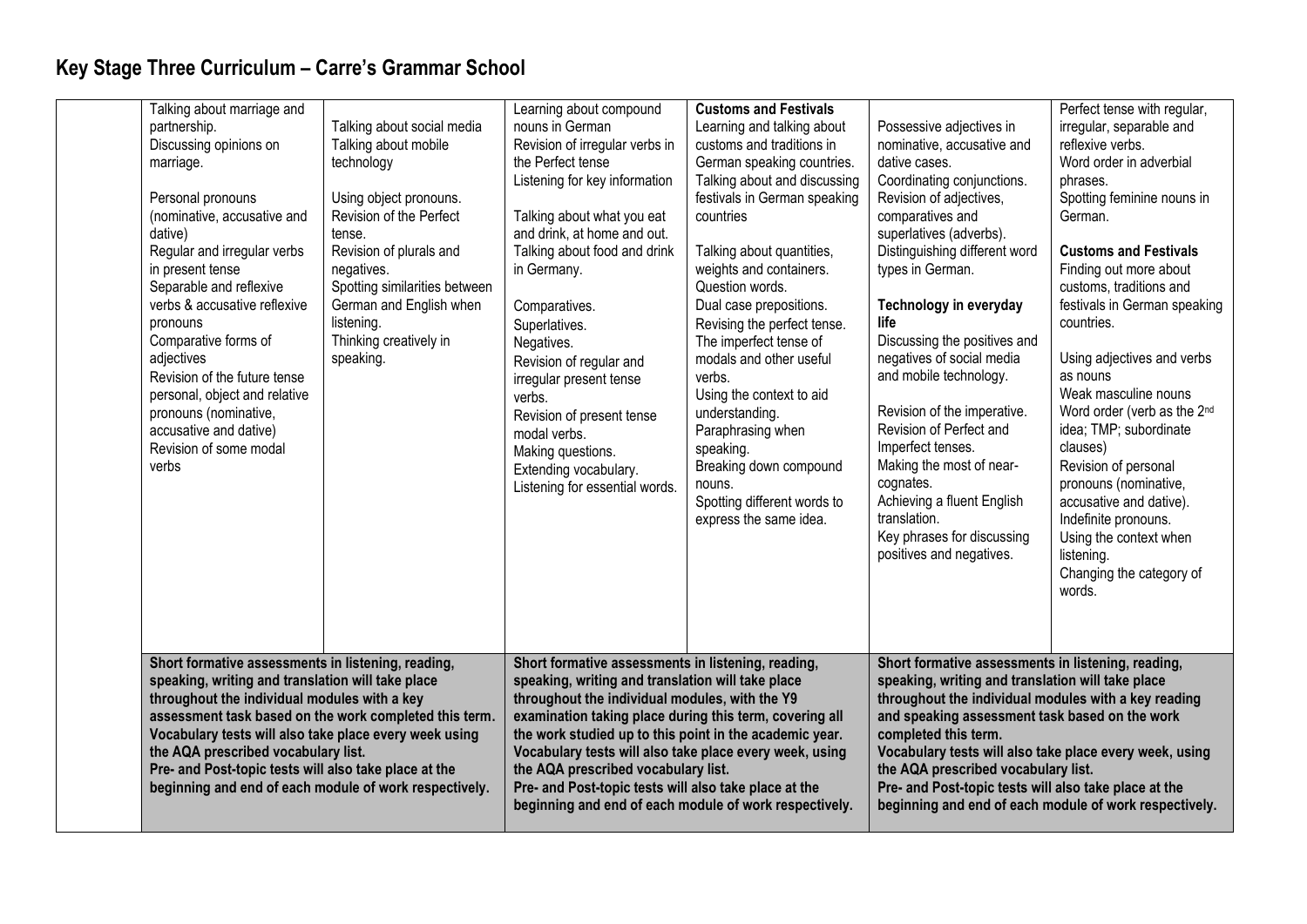| Talking about marriage and<br>partnership.<br>Discussing opinions on<br>marriage.<br>Personal pronouns<br>(nominative, accusative and<br>dative)<br>Regular and irregular verbs<br>in present tense<br>Separable and reflexive<br>verbs & accusative reflexive<br>pronouns<br>Comparative forms of<br>adjectives<br>Revision of the future tense<br>personal, object and relative<br>pronouns (nominative,<br>accusative and dative)<br>Revision of some modal<br>verbs | Talking about social media<br>Talking about mobile<br>technology<br>Using object pronouns.<br>Revision of the Perfect<br>tense.<br>Revision of plurals and<br>negatives.<br>Spotting similarities between<br>German and English when<br>listening.<br>Thinking creatively in<br>speaking. | Learning about compound<br>nouns in German<br>Revision of irregular verbs in<br>the Perfect tense<br>Listening for key information<br>Talking about what you eat<br>and drink, at home and out.<br>Talking about food and drink<br>in Germany.<br>Comparatives.<br>Superlatives.<br>Negatives.<br>Revision of regular and<br>irregular present tense<br>verbs.<br>Revision of present tense<br>modal verbs.<br>Making questions.<br>Extending vocabulary.<br>Listening for essential words.          | <b>Customs and Festivals</b><br>Learning and talking about<br>customs and traditions in<br>German speaking countries.<br>Talking about and discussing<br>festivals in German speaking<br>countries<br>Talking about quantities,<br>weights and containers.<br>Question words.<br>Dual case prepositions.<br>Revising the perfect tense.<br>The imperfect tense of<br>modals and other useful<br>verbs.<br>Using the context to aid<br>understanding.<br>Paraphrasing when<br>speaking.<br>Breaking down compound<br>nouns.<br>Spotting different words to<br>express the same idea. | Possessive adjectives in<br>nominative, accusative and<br>dative cases.<br>Coordinating conjunctions.<br>Revision of adjectives,<br>comparatives and<br>superlatives (adverbs).<br>Distinguishing different word<br>types in German.<br><b>Technology in everyday</b><br>life<br>Discussing the positives and<br>negatives of social media<br>and mobile technology.<br>Revision of the imperative.<br>Revision of Perfect and<br>Imperfect tenses.<br>Making the most of near-<br>cognates.<br>Achieving a fluent English<br>translation.<br>Key phrases for discussing<br>positives and negatives. | Perfect tense with regular,<br>irregular, separable and<br>reflexive verbs.<br>Word order in adverbial<br>phrases.<br>Spotting feminine nouns in<br>German.<br><b>Customs and Festivals</b><br>Finding out more about<br>customs, traditions and<br>festivals in German speaking<br>countries.<br>Using adjectives and verbs<br>as nouns<br>Weak masculine nouns<br>Word order (verb as the 2nd<br>idea; TMP; subordinate<br>clauses)<br>Revision of personal<br>pronouns (nominative,<br>accusative and dative).<br>Indefinite pronouns.<br>Using the context when<br>listening.<br>Changing the category of<br>words. |
|-------------------------------------------------------------------------------------------------------------------------------------------------------------------------------------------------------------------------------------------------------------------------------------------------------------------------------------------------------------------------------------------------------------------------------------------------------------------------|-------------------------------------------------------------------------------------------------------------------------------------------------------------------------------------------------------------------------------------------------------------------------------------------|------------------------------------------------------------------------------------------------------------------------------------------------------------------------------------------------------------------------------------------------------------------------------------------------------------------------------------------------------------------------------------------------------------------------------------------------------------------------------------------------------|-------------------------------------------------------------------------------------------------------------------------------------------------------------------------------------------------------------------------------------------------------------------------------------------------------------------------------------------------------------------------------------------------------------------------------------------------------------------------------------------------------------------------------------------------------------------------------------|------------------------------------------------------------------------------------------------------------------------------------------------------------------------------------------------------------------------------------------------------------------------------------------------------------------------------------------------------------------------------------------------------------------------------------------------------------------------------------------------------------------------------------------------------------------------------------------------------|-------------------------------------------------------------------------------------------------------------------------------------------------------------------------------------------------------------------------------------------------------------------------------------------------------------------------------------------------------------------------------------------------------------------------------------------------------------------------------------------------------------------------------------------------------------------------------------------------------------------------|
| Short formative assessments in listening, reading,<br>speaking, writing and translation will take place<br>throughout the individual modules with a key<br>assessment task based on the work completed this term.<br>Vocabulary tests will also take place every week using<br>the AQA prescribed vocabulary list.<br>Pre- and Post-topic tests will also take place at the<br>beginning and end of each module of work respectively.                                   |                                                                                                                                                                                                                                                                                           | Short formative assessments in listening, reading,<br>speaking, writing and translation will take place<br>throughout the individual modules, with the Y9<br>examination taking place during this term, covering all<br>the work studied up to this point in the academic year.<br>Vocabulary tests will also take place every week, using<br>the AQA prescribed vocabulary list.<br>Pre- and Post-topic tests will also take place at the<br>beginning and end of each module of work respectively. |                                                                                                                                                                                                                                                                                                                                                                                                                                                                                                                                                                                     | Short formative assessments in listening, reading,<br>speaking, writing and translation will take place<br>throughout the individual modules with a key reading<br>and speaking assessment task based on the work<br>completed this term.<br>Vocabulary tests will also take place every week, using<br>the AQA prescribed vocabulary list.<br>Pre- and Post-topic tests will also take place at the<br>beginning and end of each module of work respectively.                                                                                                                                       |                                                                                                                                                                                                                                                                                                                                                                                                                                                                                                                                                                                                                         |